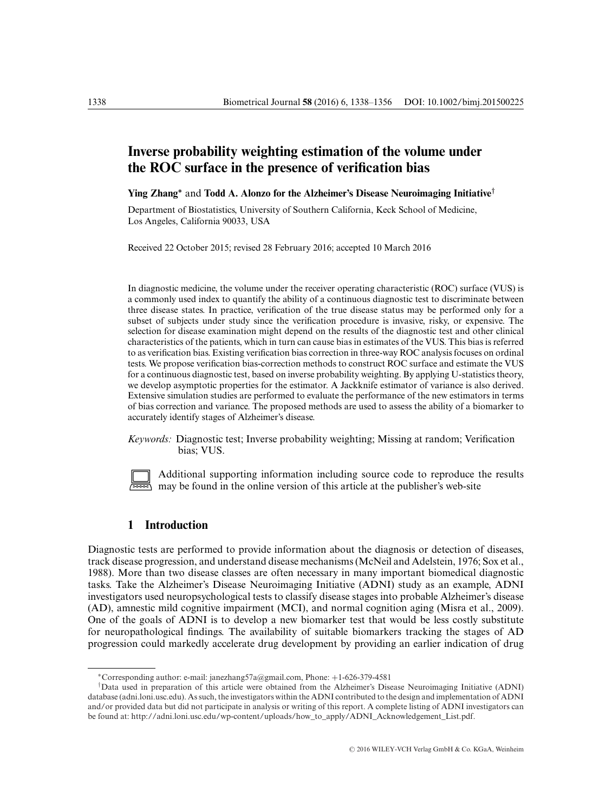# **Inverse probability weighting estimation of the volume under the ROC surface in the presence of verification bias**

**Ying Zhang<sup>∗</sup>** and **Todd A. Alonzo for the Alzheimer's Disease Neuroimaging Initiative***†*

Department of Biostatistics, University of Southern California, Keck School of Medicine, Los Angeles, California 90033, USA

Received 22 October 2015; revised 28 February 2016; accepted 10 March 2016

In diagnostic medicine, the volume under the receiver operating characteristic (ROC) surface (VUS) is a commonly used index to quantify the ability of a continuous diagnostic test to discriminate between three disease states. In practice, verification of the true disease status may be performed only for a subset of subjects under study since the verification procedure is invasive, risky, or expensive. The selection for disease examination might depend on the results of the diagnostic test and other clinical characteristics of the patients, which in turn can cause bias in estimates of the VUS. This bias is referred to as verification bias. Existing verification bias correction in three-way ROC analysis focuses on ordinal tests. We propose verification bias-correction methods to construct ROC surface and estimate the VUS for a continuous diagnostic test, based on inverse probability weighting. By applying U-statistics theory, we develop asymptotic properties for the estimator. A Jackknife estimator of variance is also derived. Extensive simulation studies are performed to evaluate the performance of the new estimators in terms of bias correction and variance. The proposed methods are used to assess the ability of a biomarker to accurately identify stages of Alzheimer's disease.

*Keywords:* Diagnostic test; Inverse probability weighting; Missing at random; Verification bias; VUS.



Additional supporting information including source code to reproduce the results may be found in the online version of this article at the publisher's web-site

## **1 Introduction**

Diagnostic tests are performed to provide information about the diagnosis or detection of diseases, track disease progression, and understand disease mechanisms (McNeil and Adelstein, 1976; Sox et al., 1988). More than two disease classes are often necessary in many important biomedical diagnostic tasks. Take the Alzheimer's Disease Neuroimaging Initiative (ADNI) study as an example, ADNI investigators used neuropsychological tests to classify disease stages into probable Alzheimer's disease (AD), amnestic mild cognitive impairment (MCI), and normal cognition aging (Misra et al., 2009). One of the goals of ADNI is to develop a new biomarker test that would be less costly substitute for neuropathological findings. The availability of suitable biomarkers tracking the stages of AD progression could markedly accelerate drug development by providing an earlier indication of drug

<sup>∗</sup>Corresponding author: e-mail: janezhang57a@gmail.com, Phone: +1-626-379-4581

<sup>†</sup>Data used in preparation of this article were obtained from the Alzheimer's Disease Neuroimaging Initiative (ADNI) database (adni.loni.usc.edu). As such, the investigators within the ADNI contributed to the design and implementation of ADNI and/or provided data but did not participate in analysis or writing of this report. A complete listing of ADNI investigators can be found at: http://adni.loni.usc.edu/wp-content/uploads/how\_to\_apply/ADNI\_Acknowledgement\_List.pdf.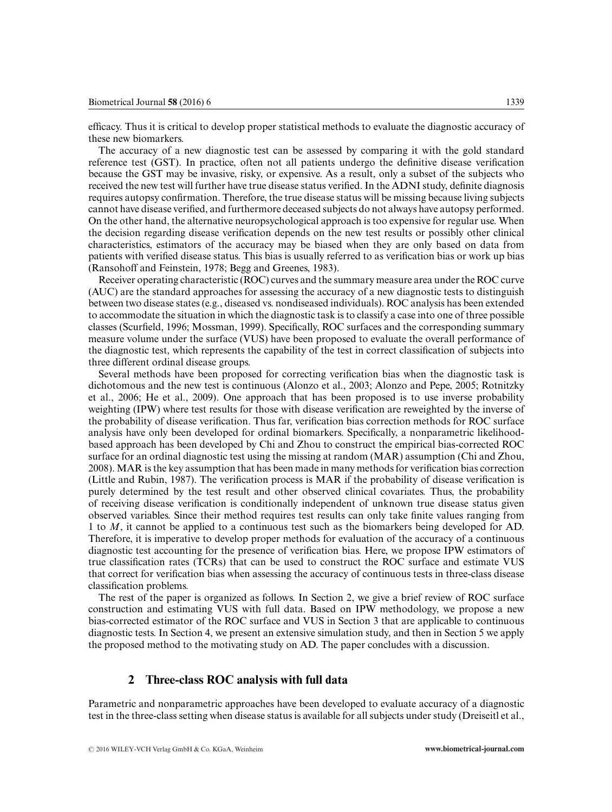efficacy. Thus it is critical to develop proper statistical methods to evaluate the diagnostic accuracy of these new biomarkers.

The accuracy of a new diagnostic test can be assessed by comparing it with the gold standard reference test (GST). In practice, often not all patients undergo the definitive disease verification because the GST may be invasive, risky, or expensive. As a result, only a subset of the subjects who received the new test will further have true disease status verified. In the ADNI study, definite diagnosis requires autopsy confirmation. Therefore, the true disease status will be missing because living subjects cannot have disease verified, and furthermore deceased subjects do not always have autopsy performed. On the other hand, the alternative neuropsychological approach is too expensive for regular use. When the decision regarding disease verification depends on the new test results or possibly other clinical characteristics, estimators of the accuracy may be biased when they are only based on data from patients with verified disease status. This bias is usually referred to as verification bias or work up bias (Ransohoff and Feinstein, 1978; Begg and Greenes, 1983).

Receiver operating characteristic (ROC) curves and the summary measure area under the ROC curve (AUC) are the standard approaches for assessing the accuracy of a new diagnostic tests to distinguish between two disease states (e.g., diseased vs. nondiseased individuals). ROC analysis has been extended to accommodate the situation in which the diagnostic task is to classify a case into one of three possible classes (Scurfield, 1996; Mossman, 1999). Specifically, ROC surfaces and the corresponding summary measure volume under the surface (VUS) have been proposed to evaluate the overall performance of the diagnostic test, which represents the capability of the test in correct classification of subjects into three different ordinal disease groups.

Several methods have been proposed for correcting verification bias when the diagnostic task is dichotomous and the new test is continuous (Alonzo et al., 2003; Alonzo and Pepe, 2005; Rotnitzky et al., 2006; He et al., 2009). One approach that has been proposed is to use inverse probability weighting (IPW) where test results for those with disease verification are reweighted by the inverse of the probability of disease verification. Thus far, verification bias correction methods for ROC surface analysis have only been developed for ordinal biomarkers. Specifically, a nonparametric likelihoodbased approach has been developed by Chi and Zhou to construct the empirical bias-corrected ROC surface for an ordinal diagnostic test using the missing at random (MAR) assumption (Chi and Zhou, 2008). MAR is the key assumption that has been made in many methods for verification bias correction (Little and Rubin, 1987). The verification process is MAR if the probability of disease verification is purely determined by the test result and other observed clinical covariates. Thus, the probability of receiving disease verification is conditionally independent of unknown true disease status given observed variables. Since their method requires test results can only take finite values ranging from 1 to *M*, it cannot be applied to a continuous test such as the biomarkers being developed for AD. Therefore, it is imperative to develop proper methods for evaluation of the accuracy of a continuous diagnostic test accounting for the presence of verification bias. Here, we propose IPW estimators of true classification rates (TCRs) that can be used to construct the ROC surface and estimate VUS that correct for verification bias when assessing the accuracy of continuous tests in three-class disease classification problems.

The rest of the paper is organized as follows. In Section 2, we give a brief review of ROC surface construction and estimating VUS with full data. Based on IPW methodology, we propose a new bias-corrected estimator of the ROC surface and VUS in Section 3 that are applicable to continuous diagnostic tests. In Section 4, we present an extensive simulation study, and then in Section 5 we apply the proposed method to the motivating study on AD. The paper concludes with a discussion.

## **2 Three-class ROC analysis with full data**

Parametric and nonparametric approaches have been developed to evaluate accuracy of a diagnostic test in the three-class setting when disease status is available for all subjects under study (Dreiseitl et al.,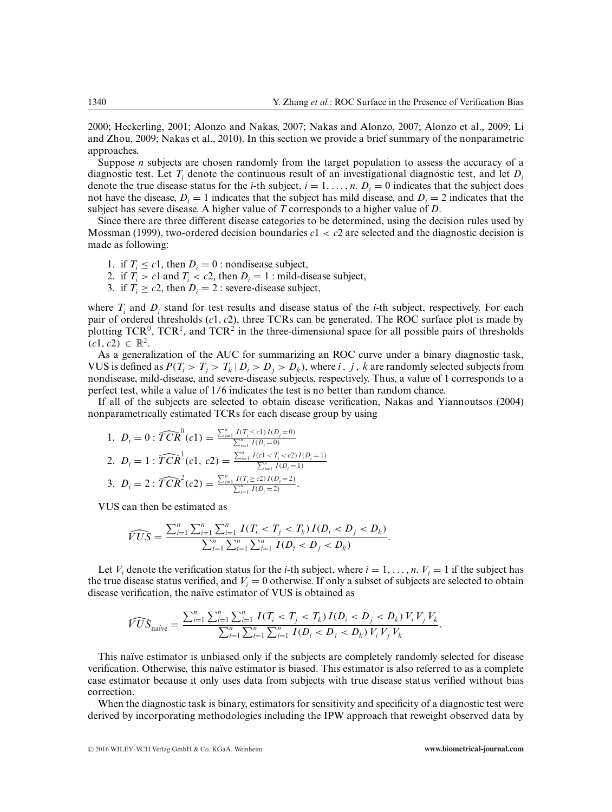2000; Heckerling, 2001; Alonzo and Nakas, 2007; Nakas and Alonzo, 2007; Alonzo et al., 2009; Li and Zhou, 2009; Nakas et al., 2010). In this section we provide a brief summary of the nonparametric approaches.

Suppose *n* subjects are chosen randomly from the target population to assess the accuracy of a diagnostic test. Let *Ti* denote the continuous result of an investigational diagnostic test, and let *Di* denote the true disease status for the *i*-th subject,  $i = 1, \ldots, n$ .  $D_i = 0$  indicates that the subject does not have the disease,  $D_i = 1$  indicates that the subject has mild disease, and  $D_i = 2$  indicates that the subject has severe disease. A higher value of *T* corresponds to a higher value of *D*.

Since there are three different disease categories to be determined, using the decision rules used by Mossman (1999), two-ordered decision boundaries  $c1 < c2$  are selected and the diagnostic decision is made as following:

- 1. if  $T_i \le c1$ , then  $D_i = 0$ : nondisease subject,
- 2. if  $T_i > c1$  and  $T_i < c2$ , then  $D_i = 1$ : mild-disease subject,
- 3. if  $T_i \ge c2$ , then  $D_i = 2$ : severe-disease subject,

where  $T_i$  and  $D_i$  stand for test results and disease status of the *i*-th subject, respectively. For each pair of ordered thresholds (*c*1, *c*2), three TCRs can be generated. The ROC surface plot is made by plotting  $TCR<sup>0</sup>$ ,  $TCR<sup>1</sup>$ , and  $TCR<sup>2</sup>$  in the three-dimensional space for all possible pairs of thresholds  $(c1, c2) \in \mathbb{R}^2$ .

As a generalization of the AUC for summarizing an ROC curve under a binary diagnostic task, VUS is defined as  $P(T_i > T_j > T_k | D_i > D_j > D_k)$ , where *i*, *j*, *k* are randomly selected subjects from nondisease, mild-disease, and severe-disease subjects, respectively. Thus, a value of 1 corresponds to a perfect test, while a value of 1/6 indicates the test is no better than random chance.

If all of the subjects are selected to obtain disease verification, Nakas and Yiannoutsos (2004) nonparametrically estimated TCRs for each disease group by using

1. 
$$
D_i = 0
$$
:  $\widehat{TCR}^0(c1) = \frac{\sum_{i=1}^n I(T_i \le c1) I(D_i = 0)}{\sum_{i=1}^n I(D_i = 0)}$   
\n2.  $D_i = 1$ :  $\widehat{TCR}^1(c1, c2) = \frac{\sum_{i=1}^n I(c1 < T_i < c2) I(D_i = 1)}{\sum_{i=1}^n I(D_i = 1)}$   
\n3.  $D_i = 2$ :  $\widehat{TCR}^2(c2) = \frac{\sum_{i=1}^n I(T_i \ge c2) I(D_i = 2)}{\sum_{i=1}^n I(D_i = 2)}$ .

VUS can then be estimated as

$$
\widehat{VUS} = \frac{\sum_{i=1}^{n} \sum_{i=1}^{n} \sum_{i=1}^{n} I(T_i < T_j < T_k) I(D_i < D_j < D_k)}{\sum_{i=1}^{n} \sum_{i=1}^{n} \sum_{i=1}^{n} I(D_i < D_j < D_k)}.
$$

Let  $V_i$  denote the verification status for the *i*-th subject, where  $i = 1, \ldots, n$ .  $V_i = 1$  if the subject has the true disease status verified, and  $V_i = 0$  otherwise. If only a subset of subjects are selected to obtain disease verification, the naïve estimator of VUS is obtained as

$$
\widehat{VUS}_{\text{naïve}} = \frac{\sum_{i=1}^{n} \sum_{i=1}^{n} \sum_{i=1}^{n} I(T_i < T_j < T_k) I(D_i < D_j < D_k) V_i V_j V_k}{\sum_{i=1}^{n} \sum_{i=1}^{n} \sum_{i=1}^{n} I(D_i < D_j < D_k) V_i V_j V_k}.
$$

This naïve estimator is unbiased only if the subjects are completely randomly selected for disease verification. Otherwise, this naïve estimator is biased. This estimator is also referred to as a complete case estimator because it only uses data from subjects with true disease status verified without bias correction.

When the diagnostic task is binary, estimators for sensitivity and specificity of a diagnostic test were derived by incorporating methodologies including the IPW approach that reweight observed data by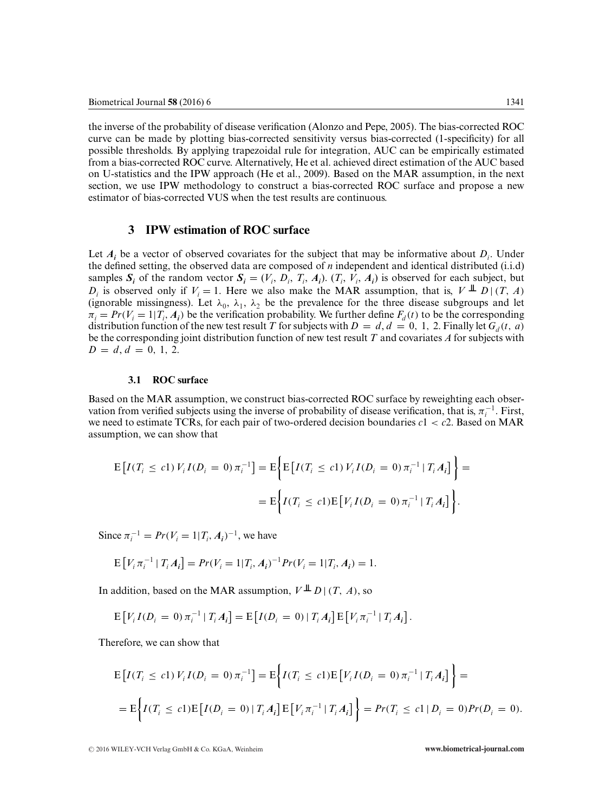the inverse of the probability of disease verification (Alonzo and Pepe, 2005). The bias-corrected ROC curve can be made by plotting bias-corrected sensitivity versus bias-corrected (1-specificity) for all possible thresholds. By applying trapezoidal rule for integration, AUC can be empirically estimated from a bias-corrected ROC curve. Alternatively, He et al. achieved direct estimation of the AUC based on U-statistics and the IPW approach (He et al., 2009). Based on the MAR assumption, in the next section, we use IPW methodology to construct a bias-corrected ROC surface and propose a new estimator of bias-corrected VUS when the test results are continuous.

## **3 IPW estimation of ROC surface**

Let  $A_i$  be a vector of observed covariates for the subject that may be informative about  $D_i$ . Under the defined setting, the observed data are composed of *n* independent and identical distributed (i.i.d) samples  $S_i$  of the random vector  $S_i = (V_i, D_i, T_i, A_i)$ .  $(T_i, V_i, A_i)$  is observed for each subject, but *D<sub>i</sub>* is observed only if  $V_i = 1$ . Here we also make the MAR assumption, that is,  $V \perp \!\!\!\perp D \mid (T, A)$ (ignorable missingness). Let  $\lambda_0$ ,  $\lambda_1$ ,  $\lambda_2$  be the prevalence for the three disease subgroups and let  $\pi_i = Pr(V_i = 1 | T_i, A_i)$  be the verification probability. We further define  $F_d(t)$  to be the corresponding distribution function of the new test result *T* for subjects with  $D = d$ ,  $d = 0, 1, 2$ . Finally let  $G_d(t, a)$ be the corresponding joint distribution function of new test result *T* and covariates *A* for subjects with  $D = d, d = 0, 1, 2.$ 

## **3.1 ROC surface**

Based on the MAR assumption, we construct bias-corrected ROC surface by reweighting each observation from verified subjects using the inverse of probability of disease verification, that is,  $\pi_i^{-1}$ . First, we need to estimate TCRs, for each pair of two-ordered decision boundaries *c*1 < *c*2. Based on MAR assumption, we can show that

$$
E[I(T_i \le c1) V_i I(D_i = 0) \pi_i^{-1}] = E\Big\{E[I(T_i \le c1) V_i I(D_i = 0) \pi_i^{-1} | T_i A_i]\Big\} =
$$
  
= 
$$
E\Big\{I(T_i \le c1)E[V_i I(D_i = 0) \pi_i^{-1} | T_i A_i]\Big\}.
$$

Since  $\pi_i^{-1} = Pr(V_i = 1 | T_i, A_i)^{-1}$ , we have

$$
E[V_i \pi_i^{-1} | T_i A_i] = Pr(V_i = 1 | T_i, A_i)^{-1} Pr(V_i = 1 | T_i, A_i) = 1.
$$

In addition, based on the MAR assumption,  $V^{\perp\!\!\!\perp} D \mid (T, A)$ , so

$$
E[V_i I(D_i = 0) \pi_i^{-1} | T_i A_i] = E[I(D_i = 0) | T_i A_i] E[V_i \pi_i^{-1} | T_i A_i].
$$

Therefore, we can show that

$$
E[I(T_i \le c1) V_i I(D_i = 0) \pi_i^{-1}] = E\Big\{I(T_i \le c1)E[V_i I(D_i = 0) \pi_i^{-1} | T_i A_i]\Big\} =
$$
  
= 
$$
E\Big\{I(T_i \le c1)E[I(D_i = 0) | T_i A_i]E[V_i \pi_i^{-1} | T_i A_i]\Big\} = Pr(T_i \le c1 | D_i = 0)Pr(D_i = 0).
$$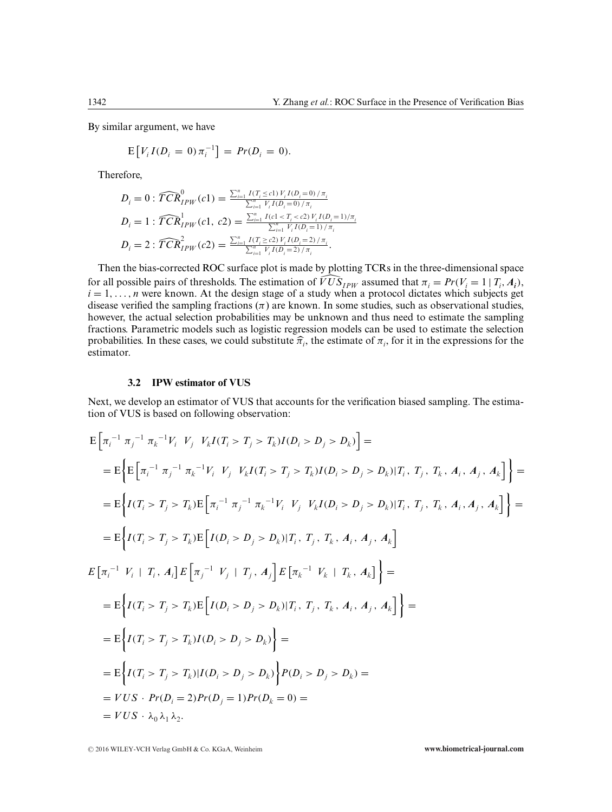By similar argument, we have

$$
E[V_i I(D_i = 0) \pi_i^{-1}] = Pr(D_i = 0).
$$

Therefore,

$$
D_i = 0: \widehat{TCR}_{IPW}^0(c1) = \frac{\sum_{i=1}^n I(T_i \le c1) V_i I(D_i = 0) / \pi_i}{\sum_{i=1}^n V_i I(D_i = 0) / \pi_i}
$$
  
\n
$$
D_i = 1: \widehat{TCR}_{IPW}^1(c1, c2) = \frac{\sum_{i=1}^n I(c1 < T_i < c2) V_i I(D_i = 1) / \pi_i}{\sum_{i=1}^n V_i I(D_i = 1) / \pi_i}
$$
  
\n
$$
D_i = 2: \widehat{TCR}_{IPW}^2(c2) = \frac{\sum_{i=1}^n I(T_i \ge c2) V_i I(D_i = 2) / \pi_i}{\sum_{i=1}^n V_i I(D_i = 2) / \pi_i}.
$$

Then the bias-corrected ROC surface plot is made by plotting TCRs in the three-dimensional space for all possible pairs of thresholds. The estimation of  $\widehat{VUS}_{IPW}$  assumed that  $\pi_i = Pr(V_i = 1 | T_i, A_i)$ ,  $i = 1, \ldots, n$  were known. At the design stage of a study when a protocol dictates which subjects get disease verified the sampling fractions  $(\pi)$  are known. In some studies, such as observational studies, however, the actual selection probabilities may be unknown and thus need to estimate the sampling fractions. Parametric models such as logistic regression models can be used to estimate the selection probabilities. In these cases, we could substitute  $\hat{\pi}_i$ , the estimate of  $\pi_i$ , for it in the expressions for the estimator.

#### **3.2 IPW estimator of VUS**

Next, we develop an estimator of VUS that accounts for the verification biased sampling. The estimation of VUS is based on following observation:

$$
E\left[\pi_i^{-1} \pi_j^{-1} \pi_k^{-1} V_i \ V_j \ V_k I(T_i > T_j > T_k) I(D_i > D_j > D_k)\right] =
$$
  
\n
$$
= E\left\{E\left[\pi_i^{-1} \pi_j^{-1} \pi_k^{-1} V_i \ V_j \ V_k I(T_i > T_j > T_k) I(D_i > D_j > D_k)|T_i, T_j, T_k, A_i, A_j, A_k\right]\right\} =
$$
  
\n
$$
= E\left\{I(T_i > T_j > T_k) E\left[\pi_i^{-1} \pi_j^{-1} \pi_k^{-1} V_i \ V_j \ V_k I(D_i > D_j > D_k)|T_i, T_j, T_k, A_i, A_j, A_k\right]\right\} =
$$
  
\n
$$
= E\left\{I(T_i > T_j > T_k) E\left[I(D_i > D_j > D_k)|T_i, T_j, T_k, A_i, A_j, A_k\right]\right\}
$$
  
\n
$$
E\left[\pi_i^{-1} V_i \mid T_i, A_i\right] E\left[\pi_j^{-1} V_j \mid T_j, A_j\right] E\left[\pi_k^{-1} V_k \mid T_k, A_k\right]\right\} =
$$
  
\n
$$
= E\left\{I(T_i > T_j > T_k) E\left[I(D_i > D_j > D_k)|T_i, T_j, T_k, A_i, A_j, A_k\right]\right\} =
$$
  
\n
$$
= E\left\{I(T_i > T_j > T_k) I(D_i > D_j > D_k)\right\} =
$$
  
\n
$$
= E\left\{I(T_i > T_j > T_k) I(D_i > D_j > D_k)\right\} P(D_i > D_j > D_k) =
$$
  
\n
$$
= VUS \cdot Pr(D_i = 2) Pr(D_j = 1) Pr(D_k = 0) =
$$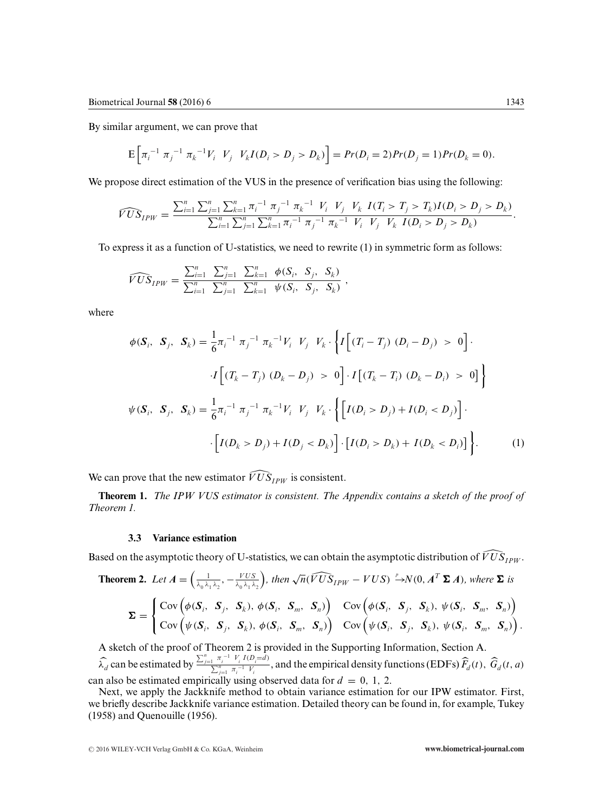By similar argument, we can prove that

$$
E\left[\pi_i^{-1} \pi_j^{-1} \pi_k^{-1} V_i \ V_j \ V_k I(D_i > D_j > D_k)\right] = Pr(D_i = 2) Pr(D_j = 1) Pr(D_k = 0).
$$

We propose direct estimation of the VUS in the presence of verification bias using the following:

$$
\widehat{VUS}_{IPW} = \frac{\sum_{i=1}^{n} \sum_{j=1}^{n} \sum_{k=1}^{n} \pi_i^{-1} \pi_j^{-1} \pi_k^{-1} V_i V_j V_k I(T_i > T_j > T_k) I(D_i > D_j > D_k)}{\sum_{i=1}^{n} \sum_{j=1}^{n} \sum_{k=1}^{n} \pi_i^{-1} \pi_j^{-1} \pi_k^{-1} V_i V_j V_k I(D_i > D_j > D_k)}.
$$

To express it as a function of U-statistics, we need to rewrite (1) in symmetric form as follows:

$$
\widehat{VUS}_{IPW} = \frac{\sum_{i=1}^{n} \sum_{j=1}^{n} \sum_{k=1}^{n} \phi(S_i, S_j, S_k)}{\sum_{i=1}^{n} \sum_{j=1}^{n} \sum_{k=1}^{n} \psi(S_i, S_j, S_k)},
$$

where

φ(*S<sup>i</sup>* , *<sup>S</sup> <sup>j</sup>*, *<sup>S</sup>k*) <sup>=</sup> <sup>1</sup> 6 π*i* <sup>−</sup><sup>1</sup> π*<sup>j</sup>* <sup>−</sup><sup>1</sup> π*<sup>k</sup>* −1 *Vi Vj Vk* · *I* (*Ti* − *Tj*) (*Di* − *Dj*) > 0 · ·*I* (*Tk* − *Tj*) (*Dk* − *Dj*) > 0 · *I* (*Tk* − *Ti*) (*Dk* − *Di*) > 0 ψ (*S<sup>i</sup>* , *<sup>S</sup> <sup>j</sup>*, *<sup>S</sup>k*) <sup>=</sup> <sup>1</sup> 6 π*i* <sup>−</sup><sup>1</sup> π*<sup>j</sup>* <sup>−</sup><sup>1</sup> π*<sup>k</sup>* −1 *Vi Vj Vk* · *I*(*Di* > *Dj*) + *I*(*Di* < *Dj*) · · *I*(*Dk* > *Dj*) + *I*(*Dj* < *Dk*) · *I*(*Di* > *Dk*) + *I*(*Dk* < *Di*) . (1)

We can prove that the new estimator  $\widehat{VUS}_{IPW}$  is consistent.

**Theorem 1.** *The IPW VUS estimator is consistent. The Appendix contains a sketch of the proof of Theorem 1.*

## **3.3 Variance estimation**

Based on the asymptotic theory of U-statistics, we can obtain the asymptotic distribution of  $\widehat{VUS}_{IPW}$  .

**Theorem 2.** Let 
$$
A = \left(\frac{1}{\lambda_0 \lambda_1 \lambda_2}, -\frac{VUS}{\lambda_0 \lambda_1 \lambda_2}\right)
$$
, then  $\sqrt{n}(\widehat{VUS}_{IPW} - VUS) \xrightarrow{\rho} N(0, A^T \Sigma A)$ , where  $\Sigma$  is\n
$$
\Sigma = \begin{cases}\n\text{Cov}\left(\phi(S_i, S_j, S_k), \phi(S_i, S_m, S_n)\right) & \text{Cov}\left(\phi(S_i, S_j, S_k), \psi(S_i, S_m, S_n)\right) \\
\text{Cov}\left(\psi(S_i, S_j, S_k), \phi(S_i, S_m, S_n)\right) & \text{Cov}\left(\psi(S_i, S_j, S_k), \psi(S_i, S_m, S_n)\right).\n\end{cases}
$$

A sketch of the proof of Theorem 2 is provided in the Supporting Information, Section A.  $\widehat{\lambda}_d$  can be estimated by  $\frac{\sum_{j=1}^n \pi_i^{-1} V_i I(D_i=d)}{\sum_{j=1}^n \pi_i^{-1} V_j}$ , and the empirical density functions (EDFs)  $\widehat{F}_d(t)$ ,  $\widehat{G}_d(t, a)$ can also be estimated empirically using observed data for  $d = 0, 1, 2$ .

Next, we apply the Jackknife method to obtain variance estimation for our IPW estimator. First, we briefly describe Jackknife variance estimation. Detailed theory can be found in, for example, Tukey (1958) and Quenouille (1956).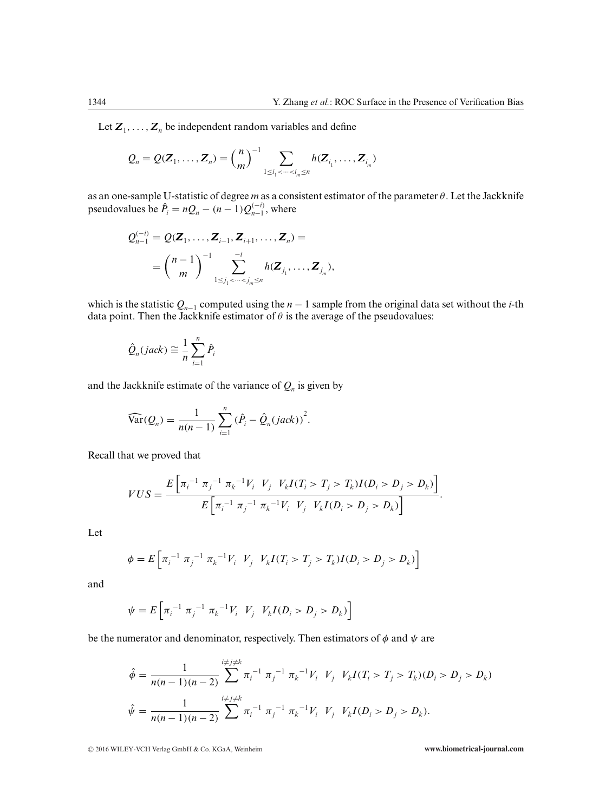Let  $\mathbf{Z}_1, \ldots, \mathbf{Z}_n$  be independent random variables and define

$$
Q_n = Q(\mathbf{Z}_1, \dots, \mathbf{Z}_n) = {n \choose m}^{-1} \sum_{1 \leq i_1 < \dots < i_m \leq n} h(\mathbf{Z}_{i_1}, \dots, \mathbf{Z}_{i_m})
$$

as an one-sample U-statistic of degree *m* as a consistent estimator of the parameter θ. Let the Jackknife pseudovalues be  $\hat{P}_i = nQ_n - (n-1)Q_{n-1}^{(-i)}$ , where

$$
Q_{n-1}^{(-i)} = Q(\mathbf{Z}_1, ..., \mathbf{Z}_{i-1}, \mathbf{Z}_{i+1}, ..., \mathbf{Z}_n) =
$$
  
=  $\binom{n-1}{m}^{-1} \sum_{1 \le j_1 < \cdots < j_m \le n}^{-i} h(\mathbf{Z}_{j_1}, ..., \mathbf{Z}_{j_m}),$ 

which is the statistic  $Q_{n-1}$  computed using the *n* − 1 sample from the original data set without the *i*-th data point. Then the Jackknife estimator of  $\theta$  is the average of the pseudovalues:

$$
\hat{Q}_n(jack) \cong \frac{1}{n} \sum_{i=1}^n \hat{P}_i
$$

and the Jackknife estimate of the variance of  $Q_n$  is given by

$$
\widehat{\text{Var}}(Q_n) = \frac{1}{n(n-1)} \sum_{i=1}^n (\hat{P}_i - \hat{Q}_n(jack))^2.
$$

Recall that we proved that

$$
VUS = \frac{E\left[\pi_i^{-1} \pi_j^{-1} \pi_k^{-1} V_i \ V_j \ V_k I(T_i > T_j > T_k) I(D_i > D_j > D_k)\right]}{E\left[\pi_i^{-1} \pi_j^{-1} \pi_k^{-1} V_i \ V_j \ V_k I(D_i > D_j > D_k)\right]}.
$$

Let

$$
\phi = E \left[ \pi_i^{-1} \pi_j^{-1} \pi_k^{-1} V_i \ V_j \ V_k I(T_i > T_j > T_k) I(D_i > D_j > D_k) \right]
$$

and

$$
\psi = E \left[ \pi_i^{-1} \ \pi_j^{-1} \ \pi_k^{-1} V_i \ \ V_j \ \ V_k I(D_i > D_j > D_k) \right]
$$

be the numerator and denominator, respectively. Then estimators of  $\phi$  and  $\psi$  are

$$
\hat{\phi} = \frac{1}{n(n-1)(n-2)} \sum_{i \neq j \neq k}^{i \neq j \neq k} \pi_i^{-1} \pi_j^{-1} \pi_k^{-1} V_i \quad V_j \quad V_k I(T_i > T_j > T_k)(D_i > D_j > D_k)
$$
\n
$$
\hat{\psi} = \frac{1}{n(n-1)(n-2)} \sum_{i \neq j \neq k}^{i \neq j \neq k} \pi_i^{-1} \pi_j^{-1} \pi_k^{-1} V_i \quad V_j \quad V_k I(D_i > D_j > D_k).
$$

<sup>C</sup> 2016 WILEY-VCH Verlag GmbH & Co. KGaA, Weinheim **www.biometrical-journal.com**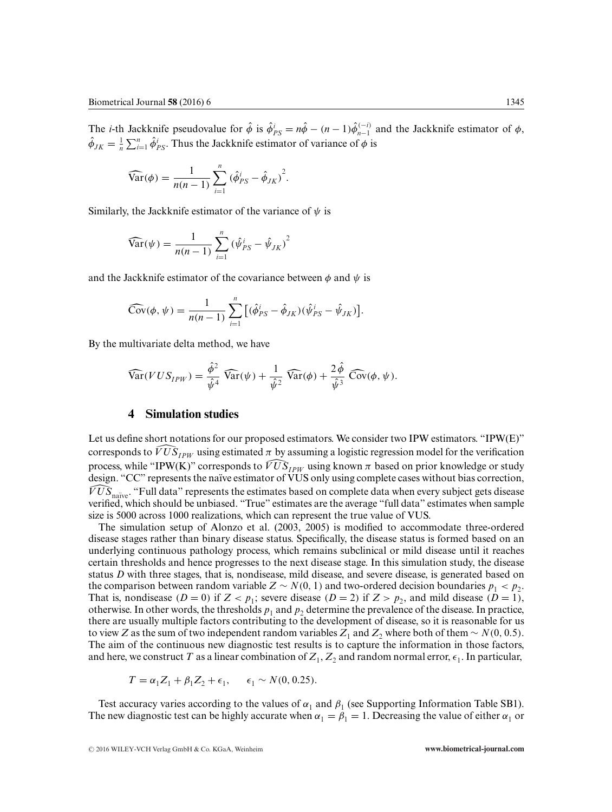The *i*-th Jackknife pseudovalue for  $\hat{\phi}$  is  $\hat{\phi}_{PS}^i = n\hat{\phi} - (n-1)\hat{\phi}_{n-1}^{(-i)}$  and the Jackknife estimator of  $\phi$ ,  $\hat{\phi}_{JK} = \frac{1}{n} \sum_{i=1}^{n} \hat{\phi}_{PS}^i$ . Thus the Jackknife estimator of variance of  $\phi$  is

$$
\widehat{\text{Var}}(\phi) = \frac{1}{n(n-1)} \sum_{i=1}^{n} (\hat{\phi}_{PS}^{i} - \hat{\phi}_{JK})^{2}.
$$

Similarly, the Jackknife estimator of the variance of  $\psi$  is

$$
\widehat{\text{Var}}(\psi) = \frac{1}{n(n-1)} \sum_{i=1}^{n} (\hat{\psi}_{PS}^{i} - \hat{\psi}_{JK})^{2}
$$

and the Jackknife estimator of the covariance between  $\phi$  and  $\psi$  is

$$
\widehat{\text{Cov}}(\phi, \psi) = \frac{1}{n(n-1)} \sum_{i=1}^{n} \left[ (\hat{\phi}_{PS}^{i} - \hat{\phi}_{JK})(\hat{\psi}_{PS}^{i} - \hat{\psi}_{JK}) \right].
$$

By the multivariate delta method, we have

$$
\widehat{\text{Var}}(VUS_{IPW}) = \frac{\hat{\phi}^2}{\hat{\psi}^4} \widehat{\text{Var}}(\psi) + \frac{1}{\hat{\psi}^2} \widehat{\text{Var}}(\phi) + \frac{2\hat{\phi}}{\hat{\psi}^3} \widehat{\text{Cov}}(\phi, \psi).
$$

## **4 Simulation studies**

Let us define short notations for our proposed estimators. We consider two IPW estimators. "IPW(E)" corresponds to  $\widehat{VUS}_{IPW}$  using estimated  $\pi$  by assuming a logistic regression model for the verification process, while "IPW(K)" corresponds to  $\widehat{VUS}_{IPW}$  using known  $\pi$  based on prior knowledge or study design. "CC" represents the naïve estimator of VUS only using complete cases without bias correction,  $\widetilde{VUS}_{\text{naïve}}$ . "Full data" represents the estimates based on complete data when every subject gets disease verified, which should be unbiased. "True" estimates are the average "full data" estimates when sample size is 5000 across 1000 realizations, which can represent the true value of VUS.

The simulation setup of Alonzo et al. (2003, 2005) is modified to accommodate three-ordered disease stages rather than binary disease status. Specifically, the disease status is formed based on an underlying continuous pathology process, which remains subclinical or mild disease until it reaches certain thresholds and hence progresses to the next disease stage. In this simulation study, the disease status *D* with three stages, that is, nondisease, mild disease, and severe disease, is generated based on the comparison between random variable  $Z \sim N(0, 1)$  and two-ordered decision boundaries  $p_1 < p_2$ . That is, nondisease  $(D = 0)$  if  $Z < p_1$ ; severe disease  $(D = 2)$  if  $Z > p_2$ , and mild disease  $(D = 1)$ , otherwise. In other words, the thresholds  $p_1$  and  $p_2$  determine the prevalence of the disease. In practice, there are usually multiple factors contributing to the development of disease, so it is reasonable for us to view *Z* as the sum of two independent random variables  $Z_1$  and  $Z_2$  where both of them ∼ *N*(0, 0.5). The aim of the continuous new diagnostic test results is to capture the information in those factors, and here, we construct *T* as a linear combination of  $Z_1, Z_2$  and random normal error,  $\epsilon_1$ . In particular,

$$
T = \alpha_1 Z_1 + \beta_1 Z_2 + \epsilon_1, \quad \epsilon_1 \sim N(0, 0.25).
$$

Test accuracy varies according to the values of  $\alpha_1$  and  $\beta_1$  (see Supporting Information Table SB1). The new diagnostic test can be highly accurate when  $\alpha_1 = \beta_1 = 1$ . Decreasing the value of either  $\alpha_1$  or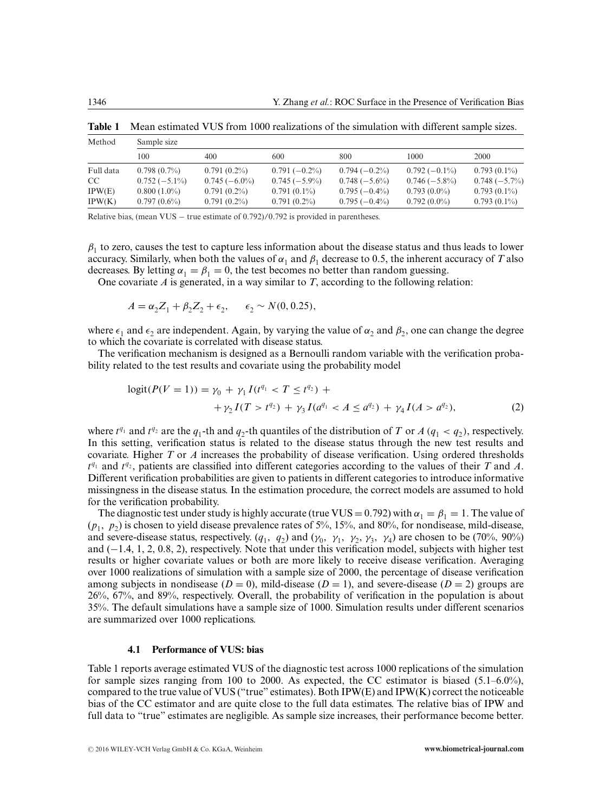| Method    | Sample size     |                 |                 |                 |                 |                 |  |  |
|-----------|-----------------|-----------------|-----------------|-----------------|-----------------|-----------------|--|--|
|           | 100             | 400             | 600             | 800             | 1000            | 2000            |  |  |
| Full data | $0.798(0.7\%)$  | $0.791(0.2\%)$  | $0.791(-0.2\%)$ | $0.794(-0.2\%)$ | $0.792(-0.1\%)$ | $0.793(0.1\%)$  |  |  |
| CC.       | $0.752(-5.1\%)$ | $0.745(-6.0\%)$ | $0.745(-5.9\%)$ | $0.748(-5.6\%)$ | $0.746(-5.8\%)$ | $0.748(-5.7\%)$ |  |  |
| IPW(E)    | $0.800(1.0\%)$  | $0.791(0.2\%)$  | $0.791(0.1\%)$  | $0.795(-0.4\%)$ | $0.793(0.0\%)$  | $0.793(0.1\%)$  |  |  |
| IPW(K)    | $0.797(0.6\%)$  | $0.791(0.2\%)$  | $0.791(0.2\%)$  | $0.795(-0.4\%)$ | $0.792(0.0\%)$  | $0.793(0.1\%)$  |  |  |

**Table 1** Mean estimated VUS from 1000 realizations of the simulation with different sample sizes.

Relative bias, (mean VUS – true estimate of  $0.792$ )/ $0.792$  is provided in parentheses.

 $\beta_1$  to zero, causes the test to capture less information about the disease status and thus leads to lower accuracy. Similarly, when both the values of  $\alpha_1$  and  $\beta_1$  decrease to 0.5, the inherent accuracy of *T* also decreases. By letting  $\alpha_1 = \beta_1 = 0$ , the test becomes no better than random guessing.

One covariate *A* is generated, in a way similar to *T*, according to the following relation:

$$
A = \alpha_2 Z_1 + \beta_2 Z_2 + \epsilon_2, \quad \epsilon_2 \sim N(0, 0.25),
$$

where  $\epsilon_1$  and  $\epsilon_2$  are independent. Again, by varying the value of  $\alpha_2$  and  $\beta_2$ , one can change the degree to which the covariate is correlated with disease status.

The verification mechanism is designed as a Bernoulli random variable with the verification probability related to the test results and covariate using the probability model

$$
logit(P(V = 1)) = \gamma_0 + \gamma_1 I(t^{q_1} < T \le t^{q_2}) + \\
 + \gamma_2 I(T > t^{q_2}) + \gamma_3 I(a^{q_1} < A \le a^{q_2}) + \gamma_4 I(A > a^{q_2}),
$$
\n<sup>(2)</sup>

where  $t^{q_1}$  and  $t^{q_2}$  are the  $q_1$ -th and  $q_2$ -th quantiles of the distribution of *T* or *A* ( $q_1 < q_2$ ), respectively. In this setting, verification status is related to the disease status through the new test results and covariate. Higher *T* or *A* increases the probability of disease verification. Using ordered thresholds  $t^{q_1}$  and  $t^{q_2}$ , patients are classified into different categories according to the values of their *T* and *A*. Different verification probabilities are given to patients in different categories to introduce informative missingness in the disease status. In the estimation procedure, the correct models are assumed to hold for the verification probability.

The diagnostic test under study is highly accurate (true VUS = 0.792) with  $\alpha_1 = \beta_1 = 1$ . The value of  $(p_1, p_2)$  is chosen to yield disease prevalence rates of 5%, 15%, and 80%, for nondisease, mild-disease, and severe-disease status, respectively.  $(q_1, q_2)$  and  $(\gamma_0, \gamma_1, \gamma_2, \gamma_3, \gamma_4)$  are chosen to be (70%, 90%) and (−1.4, 1, 2, 0.8, 2), respectively. Note that under this verification model, subjects with higher test results or higher covariate values or both are more likely to receive disease verification. Averaging over 1000 realizations of simulation with a sample size of 2000, the percentage of disease verification among subjects in nondisease  $(D = 0)$ , mild-disease  $(D = 1)$ , and severe-disease  $(D = 2)$  groups are 26%, 67%, and 89%, respectively. Overall, the probability of verification in the population is about 35%. The default simulations have a sample size of 1000. Simulation results under different scenarios are summarized over 1000 replications.

#### **4.1 Performance of VUS: bias**

Table 1 reports average estimated VUS of the diagnostic test across 1000 replications of the simulation for sample sizes ranging from 100 to 2000. As expected, the CC estimator is biased (5.1–6.0%), compared to the true value of VUS ("true" estimates). Both IPW(E) and IPW(K) correct the noticeable bias of the CC estimator and are quite close to the full data estimates. The relative bias of IPW and full data to "true" estimates are negligible. As sample size increases, their performance become better.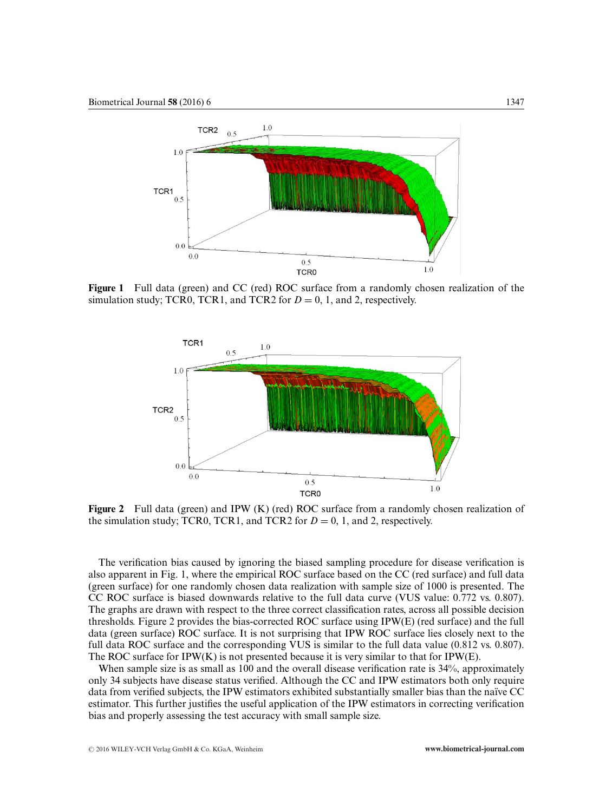

**Figure 1** Full data (green) and CC (red) ROC surface from a randomly chosen realization of the simulation study; TCR0, TCR1, and TCR2 for  $D = 0$ , 1, and 2, respectively.



**Figure 2** Full data (green) and IPW (K) (red) ROC surface from a randomly chosen realization of the simulation study; TCR0, TCR1, and TCR2 for  $D = 0$ , 1, and 2, respectively.

The verification bias caused by ignoring the biased sampling procedure for disease verification is also apparent in Fig. 1, where the empirical ROC surface based on the CC (red surface) and full data (green surface) for one randomly chosen data realization with sample size of 1000 is presented. The CC ROC surface is biased downwards relative to the full data curve (VUS value: 0.772 vs. 0.807). The graphs are drawn with respect to the three correct classification rates, across all possible decision thresholds. Figure 2 provides the bias-corrected ROC surface using IPW(E) (red surface) and the full data (green surface) ROC surface. It is not surprising that IPW ROC surface lies closely next to the full data ROC surface and the corresponding VUS is similar to the full data value (0.812 vs. 0.807). The ROC surface for IPW(K) is not presented because it is very similar to that for IPW(E).

When sample size is as small as 100 and the overall disease verification rate is 34%, approximately only 34 subjects have disease status verified. Although the CC and IPW estimators both only require data from verified subjects, the IPW estimators exhibited substantially smaller bias than the naïve CC estimator. This further justifies the useful application of the IPW estimators in correcting verification bias and properly assessing the test accuracy with small sample size.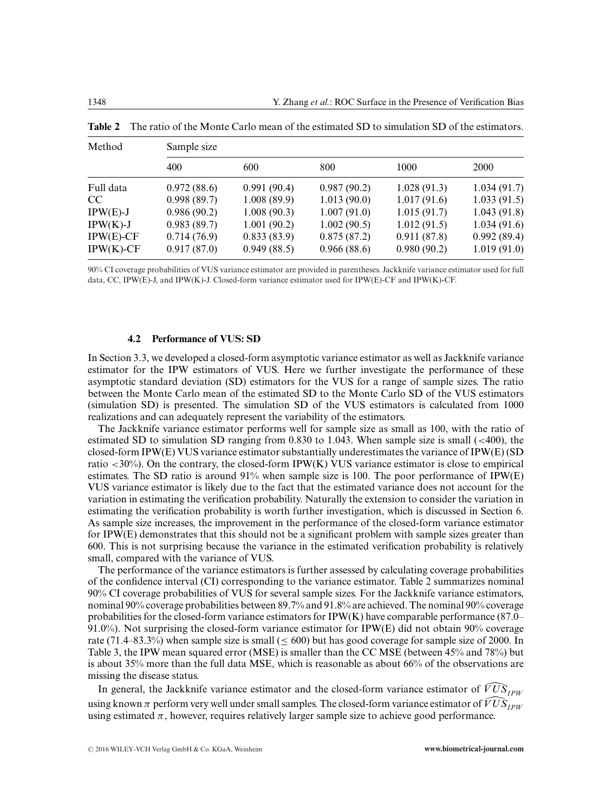| Method       | Sample size |             |             |             |             |  |  |
|--------------|-------------|-------------|-------------|-------------|-------------|--|--|
|              | 400         | 600         | 800         | 1000        | 2000        |  |  |
| Full data    | 0.972(88.6) | 0.991(90.4) | 0.987(90.2) | 1.028(91.3) | 1.034(91.7) |  |  |
| CC           | 0.998(89.7) | 1.008(89.9) | 1.013(90.0) | 1.017(91.6) | 1.033(91.5) |  |  |
| $IPW(E)-J$   | 0.986(90.2) | 1.008(90.3) | 1.007(91.0) | 1.015(91.7) | 1.043(91.8) |  |  |
| $IPW(K)-J$   | 0.983(89.7) | 1.001(90.2) | 1.002(90.5) | 1.012(91.5) | 1.034(91.6) |  |  |
| $IPW(E)$ -CF | 0.714(76.9) | 0.833(83.9) | 0.875(87.2) | 0.911(87.8) | 0.992(89.4) |  |  |
| $IPW(K)-CF$  | 0.917(87.0) | 0.949(88.5) | 0.966(88.6) | 0.980(90.2) | 1.019(91.0) |  |  |

**Table 2** The ratio of the Monte Carlo mean of the estimated SD to simulation SD of the estimators.

90% CI coverage probabilities of VUS variance estimator are provided in parentheses. Jackknife variance estimator used for full data, CC, IPW(E)-J, and IPW(K)-J. Closed-form variance estimator used for IPW(E)-CF and IPW(K)-CF.

#### **4.2 Performance of VUS: SD**

In Section 3.3, we developed a closed-form asymptotic variance estimator as well as Jackknife variance estimator for the IPW estimators of VUS. Here we further investigate the performance of these asymptotic standard deviation (SD) estimators for the VUS for a range of sample sizes. The ratio between the Monte Carlo mean of the estimated SD to the Monte Carlo SD of the VUS estimators (simulation SD) is presented. The simulation SD of the VUS estimators is calculated from 1000 realizations and can adequately represent the variability of the estimators.

The Jackknife variance estimator performs well for sample size as small as 100, with the ratio of estimated SD to simulation SD ranging from 0.830 to 1.043. When sample size is small  $( $400$ ), the$ closed-form IPW(E) VUS variance estimator substantially underestimates the variance of IPW(E) (SD ratio  $\lt$ 30%). On the contrary, the closed-form IPW(K) VUS variance estimator is close to empirical estimates. The SD ratio is around 91% when sample size is 100. The poor performance of IPW(E) VUS variance estimator is likely due to the fact that the estimated variance does not account for the variation in estimating the verification probability. Naturally the extension to consider the variation in estimating the verification probability is worth further investigation, which is discussed in Section 6. As sample size increases, the improvement in the performance of the closed-form variance estimator for IPW(E) demonstrates that this should not be a significant problem with sample sizes greater than 600. This is not surprising because the variance in the estimated verification probability is relatively small, compared with the variance of VUS.

The performance of the variance estimators is further assessed by calculating coverage probabilities of the confidence interval (CI) corresponding to the variance estimator. Table 2 summarizes nominal 90% CI coverage probabilities of VUS for several sample sizes. For the Jackknife variance estimators, nominal 90% coverage probabilities between 89.7% and 91.8% are achieved. The nominal 90% coverage probabilities for the closed-form variance estimators for IPW(K) have comparable performance (87.0– 91.0%). Not surprising the closed-form variance estimator for IPW(E) did not obtain 90% coverage rate (71.4–83.3%) when sample size is small ( $\leq 600$ ) but has good coverage for sample size of 2000. In Table 3, the IPW mean squared error (MSE) is smaller than the CC MSE (between 45% and 78%) but is about  $35\%$  more than the full data MSE, which is reasonable as about  $66\%$  of the observations are missing the disease status.

In general, the Jackknife variance estimator and the closed-form variance estimator of  $\widehat{VUS}_{IPW}$ using known  $\pi$  perform very well under small samples. The closed-form variance estimator of  $\widehat{VUS}_{IPW}$ using estimated  $\pi$ , however, requires relatively larger sample size to achieve good performance.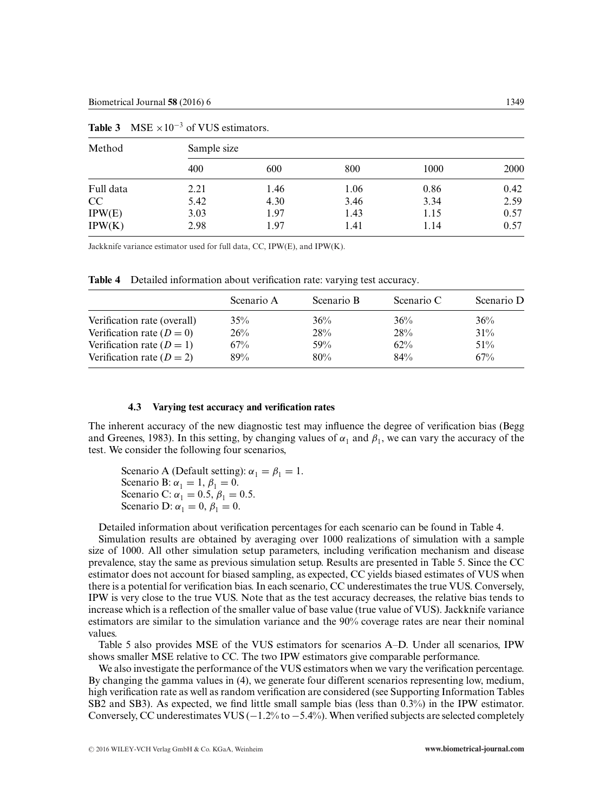| Method    | Sample size |      |      |      |      |
|-----------|-------------|------|------|------|------|
|           | 400         | 600  | 800  | 1000 | 2000 |
| Full data | 2.21        | 1.46 | 1.06 | 0.86 | 0.42 |
| CC        | 5.42        | 4.30 | 3.46 | 3.34 | 2.59 |
| IPW(E)    | 3.03        | 1.97 | 1.43 | 1.15 | 0.57 |
| IPW(K)    | 2.98        | 1.97 | 1.41 | 1.14 | 0.57 |

**Table 3** MSE  $\times 10^{-3}$  of VUS estimators.

Jackknife variance estimator used for full data, CC, IPW(E), and IPW(K).

**Table 4** Detailed information about verification rate: varying test accuracy.

|                             | Scenario A | Scenario B | Scenario C | Scenario D |
|-----------------------------|------------|------------|------------|------------|
| Verification rate (overall) | $35\%$     | 36%        | 36%        | 36%        |
| Verification rate $(D = 0)$ | $26\%$     | 28%        | 28%        | 31%        |
| Verification rate $(D = 1)$ | 67%        | 59%        | 62%        | $51\%$     |
| Verification rate $(D = 2)$ | 89%        | 80%        | 84%        | 67%        |

## **4.3 Varying test accuracy and verification rates**

The inherent accuracy of the new diagnostic test may influence the degree of verification bias (Begg and Greenes, 1983). In this setting, by changing values of  $\alpha_1$  and  $\beta_1$ , we can vary the accuracy of the test. We consider the following four scenarios,

Scenario A (Default setting):  $\alpha_1 = \beta_1 = 1$ . Scenario B:  $\alpha_1 = 1$ ,  $\beta_1 = 0$ . Scenario C:  $\alpha_1 = 0.5$ ,  $\beta_1 = 0.5$ . Scenario D:  $\alpha_1 = 0$ ,  $\beta_1 = 0$ .

Detailed information about verification percentages for each scenario can be found in Table 4.

Simulation results are obtained by averaging over 1000 realizations of simulation with a sample size of 1000. All other simulation setup parameters, including verification mechanism and disease prevalence, stay the same as previous simulation setup. Results are presented in Table 5. Since the CC estimator does not account for biased sampling, as expected, CC yields biased estimates of VUS when there is a potential for verification bias. In each scenario, CC underestimates the true VUS. Conversely, IPW is very close to the true VUS. Note that as the test accuracy decreases, the relative bias tends to increase which is a reflection of the smaller value of base value (true value of VUS). Jackknife variance estimators are similar to the simulation variance and the 90% coverage rates are near their nominal values.

Table 5 also provides MSE of the VUS estimators for scenarios A–D. Under all scenarios, IPW shows smaller MSE relative to CC. The two IPW estimators give comparable performance.

We also investigate the performance of the VUS estimators when we vary the verification percentage. By changing the gamma values in (4), we generate four different scenarios representing low, medium, high verification rate as well as random verification are considered (see Supporting Information Tables SB2 and SB3). As expected, we find little small sample bias (less than 0.3%) in the IPW estimator. Conversely, CC underestimates VUS ( $-1.2\%$  to  $-5.4\%$ ). When verified subjects are selected completely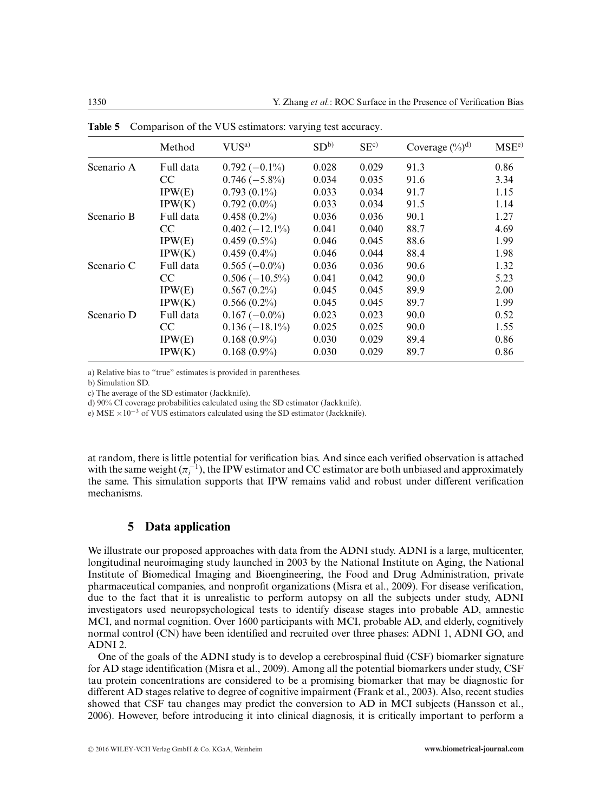|            | Method    | VUS <sup>a</sup>  | SD <sup>b</sup> | SE <sup>c</sup> | Coverage $(\frac{0}{0})^d$ | $MSE^{e}$ |
|------------|-----------|-------------------|-----------------|-----------------|----------------------------|-----------|
| Scenario A | Full data | $0.792(-0.1\%)$   | 0.028           | 0.029           | 91.3                       | 0.86      |
|            | CC        | $0.746(-5.8\%)$   | 0.034           | 0.035           | 91.6                       | 3.34      |
|            | IPW(E)    | $0.793(0.1\%)$    | 0.033           | 0.034           | 91.7                       | 1.15      |
|            | IPW(K)    | $0.792(0.0\%)$    | 0.033           | 0.034           | 91.5                       | 1.14      |
| Scenario B | Full data | $0.458(0.2\%)$    | 0.036           | 0.036           | 90.1                       | 1.27      |
|            | CC        | $0.402(-12.1\%)$  | 0.041           | 0.040           | 88.7                       | 4.69      |
|            | IPW(E)    | $0.459(0.5\%)$    | 0.046           | 0.045           | 88.6                       | 1.99      |
|            | IPW(K)    | $0.459(0.4\%)$    | 0.046           | 0.044           | 88.4                       | 1.98      |
| Scenario C | Full data | $0.565(-0.0\%)$   | 0.036           | 0.036           | 90.6                       | 1.32      |
|            | CC        | $0.506 (-10.5\%)$ | 0.041           | 0.042           | 90.0                       | 5.23      |
|            | IPW(E)    | $0.567(0.2\%)$    | 0.045           | 0.045           | 89.9                       | 2.00      |
|            | IPW(K)    | $0.566(0.2\%)$    | 0.045           | 0.045           | 89.7                       | 1.99      |
| Scenario D | Full data | $0.167(-0.0\%)$   | 0.023           | 0.023           | 90.0                       | 0.52      |
|            | CC        | $0.136(-18.1\%)$  | 0.025           | 0.025           | 90.0                       | 1.55      |
|            | IPW(E)    | $0.168(0.9\%)$    | 0.030           | 0.029           | 89.4                       | 0.86      |
|            | IPW(K)    | $0.168(0.9\%)$    | 0.030           | 0.029           | 89.7                       | 0.86      |

**Table 5** Comparison of the VUS estimators: varying test accuracy.

a) Relative bias to "true" estimates is provided in parentheses.

b) Simulation SD.

c) The average of the SD estimator (Jackknife).

d) 90% CI coverage probabilities calculated using the SD estimator (Jackknife).

e) MSE <sup>×</sup>10−<sup>3</sup> of VUS estimators calculated using the SD estimator (Jackknife).

at random, there is little potential for verification bias. And since each verified observation is attached with the same weight  $(\pi_i^{-1})$ , the IPW estimator and CC estimator are both unbiased and approximately the same. This simulation supports that IPW remains valid and robust under different verification mechanisms.

## **5 Data application**

We illustrate our proposed approaches with data from the ADNI study. ADNI is a large, multicenter, longitudinal neuroimaging study launched in 2003 by the National Institute on Aging, the National Institute of Biomedical Imaging and Bioengineering, the Food and Drug Administration, private pharmaceutical companies, and nonprofit organizations (Misra et al., 2009). For disease verification, due to the fact that it is unrealistic to perform autopsy on all the subjects under study, ADNI investigators used neuropsychological tests to identify disease stages into probable AD, amnestic MCI, and normal cognition. Over 1600 participants with MCI, probable AD, and elderly, cognitively normal control (CN) have been identified and recruited over three phases: ADNI 1, ADNI GO, and ADNI 2.

One of the goals of the ADNI study is to develop a cerebrospinal fluid (CSF) biomarker signature for AD stage identification (Misra et al., 2009). Among all the potential biomarkers under study, CSF tau protein concentrations are considered to be a promising biomarker that may be diagnostic for different AD stages relative to degree of cognitive impairment (Frank et al., 2003). Also, recent studies showed that CSF tau changes may predict the conversion to AD in MCI subjects (Hansson et al., 2006). However, before introducing it into clinical diagnosis, it is critically important to perform a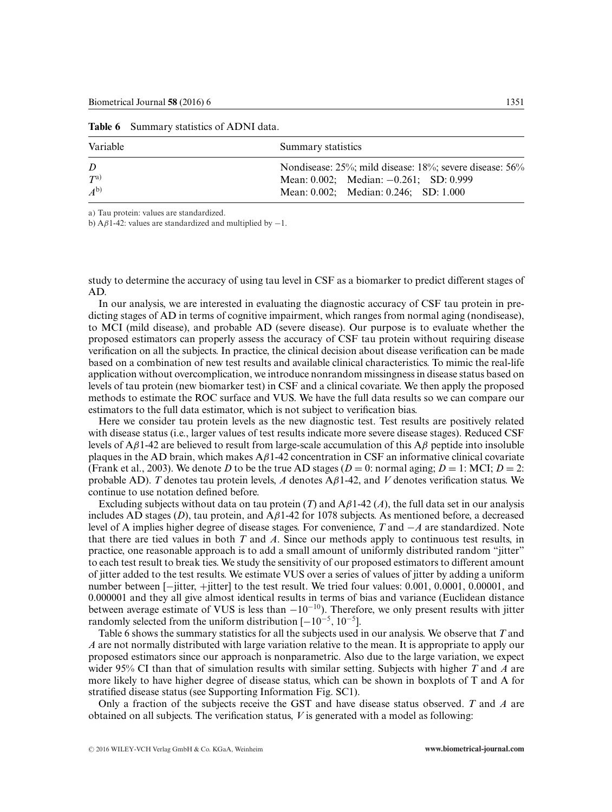| Variable  | Summary statistics                                      |
|-----------|---------------------------------------------------------|
| D         | Nondisease: 25%; mild disease: 18%; severe disease: 56% |
| $T^{a}$   | Mean: $0.002$ ; Median: $-0.261$ ; SD: 0.999            |
| $A^{(b)}$ | Mean: 0.002; Median: 0.246; SD: 1.000                   |

**Table 6** Summary statistics of ADNI data.

a) Tau protein: values are standardized.

b) A $\beta$ 1-42: values are standardized and multiplied by  $-1$ .

study to determine the accuracy of using tau level in CSF as a biomarker to predict different stages of AD.

In our analysis, we are interested in evaluating the diagnostic accuracy of CSF tau protein in predicting stages of AD in terms of cognitive impairment, which ranges from normal aging (nondisease), to MCI (mild disease), and probable AD (severe disease). Our purpose is to evaluate whether the proposed estimators can properly assess the accuracy of CSF tau protein without requiring disease verification on all the subjects. In practice, the clinical decision about disease verification can be made based on a combination of new test results and available clinical characteristics. To mimic the real-life application without overcomplication, we introduce nonrandom missingness in disease status based on levels of tau protein (new biomarker test) in CSF and a clinical covariate. We then apply the proposed methods to estimate the ROC surface and VUS. We have the full data results so we can compare our estimators to the full data estimator, which is not subject to verification bias.

Here we consider tau protein levels as the new diagnostic test. Test results are positively related with disease status (i.e., larger values of test results indicate more severe disease stages). Reduced CSF levels of  $A\beta$ 1-42 are believed to result from large-scale accumulation of this  $A\beta$  peptide into insoluble plaques in the AD brain, which makes  $A\beta$ 1-42 concentration in CSF an informative clinical covariate (Frank et al., 2003). We denote *D* to be the true AD stages ( $D = 0$ : normal aging;  $D = 1$ : MCI;  $D = 2$ : probable AD). *T* denotes tau protein levels, *A* denotes Aβ1-42, and *V* denotes verification status. We continue to use notation defined before.

Excluding subjects without data on tau protein (*T*) and  $A\beta$ 1-42 (*A*), the full data set in our analysis includes AD stages (*D*), tau protein, and  $A\beta$ 1-42 for 1078 subjects. As mentioned before, a decreased level of A implies higher degree of disease stages. For convenience, *T* and −*A* are standardized. Note that there are tied values in both *T* and *A*. Since our methods apply to continuous test results, in practice, one reasonable approach is to add a small amount of uniformly distributed random "jitter" to each test result to break ties. We study the sensitivity of our proposed estimators to different amount of jitter added to the test results. We estimate VUS over a series of values of jitter by adding a uniform number between [−jitter, +jitter] to the test result. We tried four values: 0.001, 0.0001, 0.00001, and 0.000001 and they all give almost identical results in terms of bias and variance (Euclidean distance between average estimate of VUS is less than <sup>−</sup>10−10). Therefore, we only present results with jitter randomly selected from the uniform distribution  $[-10^{-5}, 10^{-5}]$ .

Table 6 shows the summary statistics for all the subjects used in our analysis. We observe that *T* and *A* are not normally distributed with large variation relative to the mean. It is appropriate to apply our proposed estimators since our approach is nonparametric. Also due to the large variation, we expect wider 95% CI than that of simulation results with similar setting. Subjects with higher *T* and *A* are more likely to have higher degree of disease status, which can be shown in boxplots of T and A for stratified disease status (see Supporting Information Fig. SC1).

Only a fraction of the subjects receive the GST and have disease status observed. *T* and *A* are obtained on all subjects. The verification status, *V* is generated with a model as following: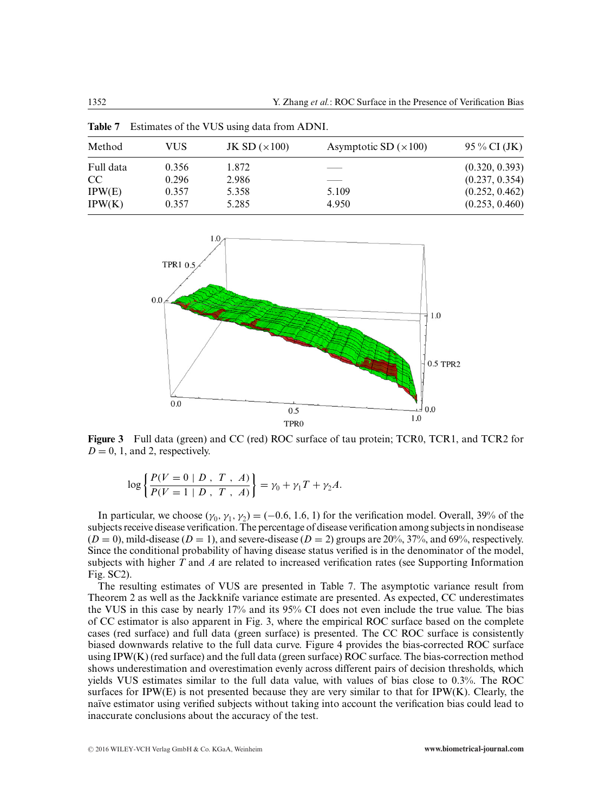| Method    | VUS   | JK SD $(\times 100)$ | Asymptotic SD $(\times 100)$ | 95 % CI (JK)   |
|-----------|-------|----------------------|------------------------------|----------------|
| Full data | 0.356 | 1.872                |                              | (0.320, 0.393) |
| CC        | 0.296 | 2.986                |                              | (0.237, 0.354) |
| IPW(E)    | 0.357 | 5.358                | 5.109                        | (0.252, 0.462) |
| IPW(K)    | 0.357 | 5.285                | 4.950                        | (0.253, 0.460) |

**Table 7** Estimates of the VUS using data from ADNI.



**Figure 3** Full data (green) and CC (red) ROC surface of tau protein; TCR0, TCR1, and TCR2 for  $D = 0$ , 1, and 2, respectively.

$$
\log \left\{ \frac{P(V = 0 \mid D, T, A)}{P(V = 1 \mid D, T, A)} \right\} = \gamma_0 + \gamma_1 T + \gamma_2 A.
$$

In particular, we choose  $(\gamma_0, \gamma_1, \gamma_2) = (-0.6, 1.6, 1)$  for the verification model. Overall, 39% of the subjects receive disease verification. The percentage of disease verification among subjects in nondisease  $(D = 0)$ , mild-disease  $(D = 1)$ , and severe-disease  $(D = 2)$  groups are 20%, 37%, and 69%, respectively. Since the conditional probability of having disease status verified is in the denominator of the model, subjects with higher *T* and *A* are related to increased verification rates (see Supporting Information Fig. SC2).

The resulting estimates of VUS are presented in Table 7. The asymptotic variance result from Theorem 2 as well as the Jackknife variance estimate are presented. As expected, CC underestimates the VUS in this case by nearly 17% and its 95% CI does not even include the true value. The bias of CC estimator is also apparent in Fig. 3, where the empirical ROC surface based on the complete cases (red surface) and full data (green surface) is presented. The CC ROC surface is consistently biased downwards relative to the full data curve. Figure 4 provides the bias-corrected ROC surface using IPW(K) (red surface) and the full data (green surface) ROC surface. The bias-correction method shows underestimation and overestimation evenly across different pairs of decision thresholds, which yields VUS estimates similar to the full data value, with values of bias close to 0.3%. The ROC surfaces for IPW $(E)$  is not presented because they are very similar to that for IPW $(K)$ . Clearly, the naïve estimator using verified subjects without taking into account the verification bias could lead to inaccurate conclusions about the accuracy of the test.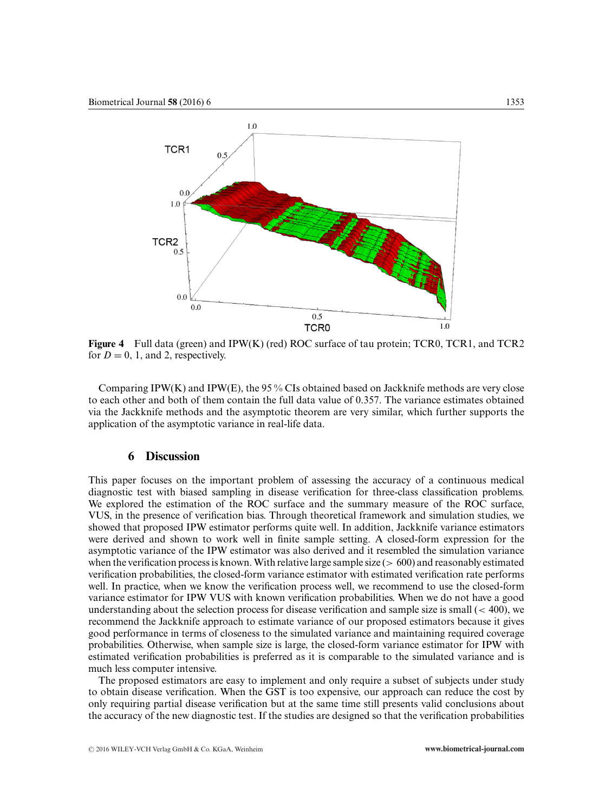

**Figure 4** Full data (green) and IPW(K) (red) ROC surface of tau protein; TCR0, TCR1, and TCR2 for  $D = 0$ , 1, and 2, respectively.

Comparing IPW(K) and IPW(E), the 95 % CIs obtained based on Jackknife methods are very close to each other and both of them contain the full data value of 0.357. The variance estimates obtained via the Jackknife methods and the asymptotic theorem are very similar, which further supports the application of the asymptotic variance in real-life data.

## **6 Discussion**

This paper focuses on the important problem of assessing the accuracy of a continuous medical diagnostic test with biased sampling in disease verification for three-class classification problems. We explored the estimation of the ROC surface and the summary measure of the ROC surface, VUS, in the presence of verification bias. Through theoretical framework and simulation studies, we showed that proposed IPW estimator performs quite well. In addition, Jackknife variance estimators were derived and shown to work well in finite sample setting. A closed-form expression for the asymptotic variance of the IPW estimator was also derived and it resembled the simulation variance when the verification process is known. With relative large sample size ( $> 600$ ) and reasonably estimated verification probabilities, the closed-form variance estimator with estimated verification rate performs well. In practice, when we know the verification process well, we recommend to use the closed-form variance estimator for IPW VUS with known verification probabilities. When we do not have a good understanding about the selection process for disease verification and sample size is small  $(< 400)$ , we recommend the Jackknife approach to estimate variance of our proposed estimators because it gives good performance in terms of closeness to the simulated variance and maintaining required coverage probabilities. Otherwise, when sample size is large, the closed-form variance estimator for IPW with estimated verification probabilities is preferred as it is comparable to the simulated variance and is much less computer intensive.

The proposed estimators are easy to implement and only require a subset of subjects under study to obtain disease verification. When the GST is too expensive, our approach can reduce the cost by only requiring partial disease verification but at the same time still presents valid conclusions about the accuracy of the new diagnostic test. If the studies are designed so that the verification probabilities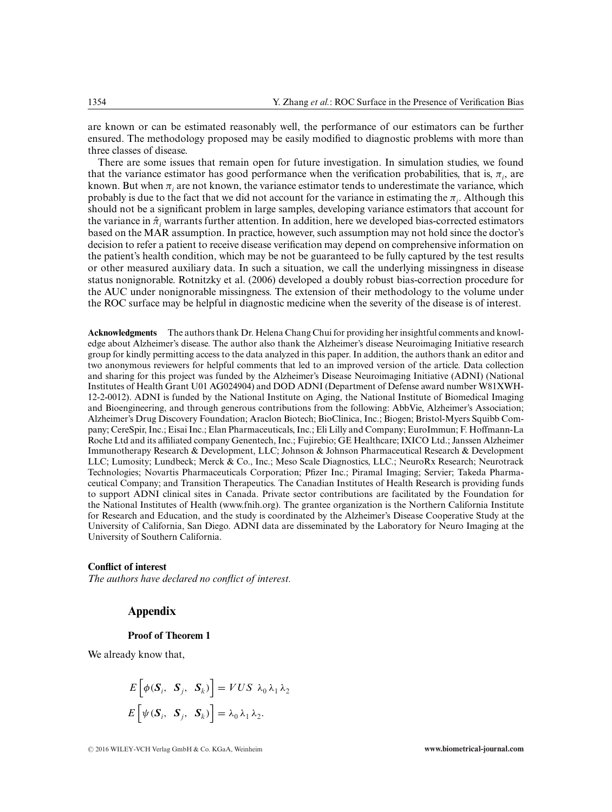are known or can be estimated reasonably well, the performance of our estimators can be further ensured. The methodology proposed may be easily modified to diagnostic problems with more than three classes of disease.

There are some issues that remain open for future investigation. In simulation studies, we found that the variance estimator has good performance when the verification probabilities, that is,  $\pi_i$ , are known. But when  $\pi_i$  are not known, the variance estimator tends to underestimate the variance, which probably is due to the fact that we did not account for the variance in estimating the  $\pi_i$ . Although this should not be a significant problem in large samples, developing variance estimators that account for the variance in  $\hat{\pi}$  warrants further attention. In addition, here we developed bias-corrected estimators based on the MAR assumption. In practice, however, such assumption may not hold since the doctor's decision to refer a patient to receive disease verification may depend on comprehensive information on the patient's health condition, which may be not be guaranteed to be fully captured by the test results or other measured auxiliary data. In such a situation, we call the underlying missingness in disease status nonignorable. Rotnitzky et al. (2006) developed a doubly robust bias-correction procedure for the AUC under nonignorable missingness. The extension of their methodology to the volume under the ROC surface may be helpful in diagnostic medicine when the severity of the disease is of interest.

**Acknowledgments** The authors thank Dr. Helena Chang Chui for providing her insightful comments and knowledge about Alzheimer's disease. The author also thank the Alzheimer's disease Neuroimaging Initiative research group for kindly permitting access to the data analyzed in this paper. In addition, the authors thank an editor and two anonymous reviewers for helpful comments that led to an improved version of the article. Data collection and sharing for this project was funded by the Alzheimer's Disease Neuroimaging Initiative (ADNI) (National Institutes of Health Grant U01 AG024904) and DOD ADNI (Department of Defense award number W81XWH-12-2-0012). ADNI is funded by the National Institute on Aging, the National Institute of Biomedical Imaging and Bioengineering, and through generous contributions from the following: AbbVie, Alzheimer's Association; Alzheimer's Drug Discovery Foundation; Araclon Biotech; BioClinica, Inc.; Biogen; Bristol-Myers Squibb Company; CereSpir, Inc.; Eisai Inc.; Elan Pharmaceuticals, Inc.; Eli Lilly and Company; EuroImmun; F. Hoffmann-La Roche Ltd and its affiliated company Genentech, Inc.; Fujirebio; GE Healthcare; IXICO Ltd.; Janssen Alzheimer Immunotherapy Research & Development, LLC; Johnson & Johnson Pharmaceutical Research & Development LLC; Lumosity; Lundbeck; Merck & Co., Inc.; Meso Scale Diagnostics, LLC.; NeuroRx Research; Neurotrack Technologies; Novartis Pharmaceuticals Corporation; Pfizer Inc.; Piramal Imaging; Servier; Takeda Pharmaceutical Company; and Transition Therapeutics. The Canadian Institutes of Health Research is providing funds to support ADNI clinical sites in Canada. Private sector contributions are facilitated by the Foundation for the National Institutes of Health (www.fnih.org). The grantee organization is the Northern California Institute for Research and Education, and the study is coordinated by the Alzheimer's Disease Cooperative Study at the University of California, San Diego. ADNI data are disseminated by the Laboratory for Neuro Imaging at the University of Southern California.

### **Conflict of interest**

*The authors have declared no conflict of interest.*

## **Appendix**

#### **Proof of Theorem 1**

We already know that,

$$
E\left[\phi(\mathbf{S}_i, \mathbf{S}_j, \mathbf{S}_k)\right] = VUS \lambda_0 \lambda_1 \lambda_2
$$
  

$$
E\left[\psi(\mathbf{S}_i, \mathbf{S}_j, \mathbf{S}_k)\right] = \lambda_0 \lambda_1 \lambda_2.
$$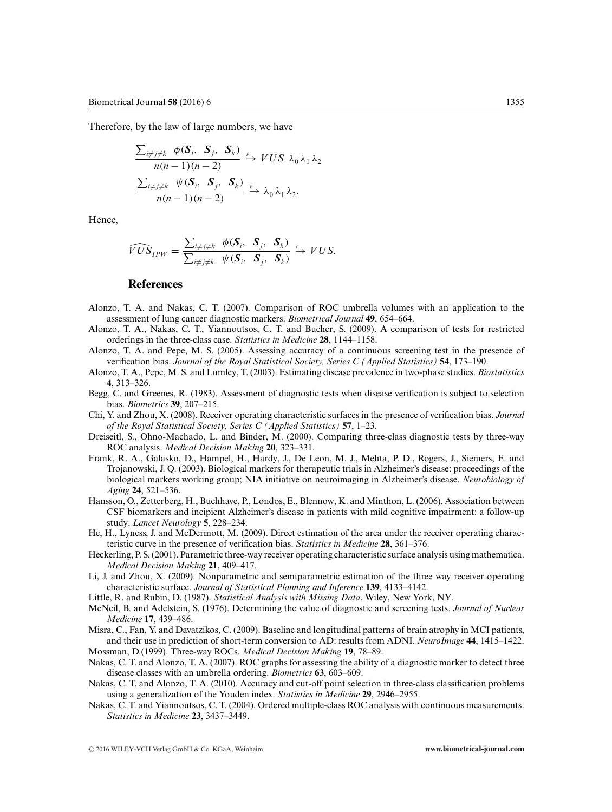Therefore, by the law of large numbers, we have

$$
\frac{\sum_{i \neq j \neq k} \phi(\mathbf{S}_i, \ \mathbf{S}_j, \ \mathbf{S}_k)}{n(n-1)(n-2)} \xrightarrow{\rho} VUS \ \lambda_0 \lambda_1 \lambda_2
$$

$$
\frac{\sum_{i \neq j \neq k} \psi(\mathbf{S}_i, \ \mathbf{S}_j, \ \mathbf{S}_k)}{n(n-1)(n-2)} \xrightarrow{\rho} \lambda_0 \lambda_1 \lambda_2.
$$

Hence,

$$
\widehat{VUS}_{IPW} = \frac{\sum_{i \neq j \neq k} \phi(\mathbf{S}_i, \ \mathbf{S}_j, \ \mathbf{S}_k)}{\sum_{i \neq j \neq k} \psi(\mathbf{S}_i, \ \mathbf{S}_j, \ \mathbf{S}_k)} \xrightarrow{p} VUS.
$$

## **References**

- Alonzo, T. A. and Nakas, C. T. (2007). Comparison of ROC umbrella volumes with an application to the assessment of lung cancer diagnostic markers. *Biometrical Journal* **49**, 654–664.
- Alonzo, T. A., Nakas, C. T., Yiannoutsos, C. T. and Bucher, S. (2009). A comparison of tests for restricted orderings in the three-class case. *Statistics in Medicine* **28**, 1144–1158.
- Alonzo, T. A. and Pepe, M. S. (2005). Assessing accuracy of a continuous screening test in the presence of verification bias. *Journal of the Royal Statistical Society, Series C (Applied Statistics)* **54**, 173–190.
- Alonzo, T. A., Pepe, M. S. and Lumley, T. (2003). Estimating disease prevalence in two-phase studies. *Biostatistics* **4**, 313–326.
- Begg, C. and Greenes, R. (1983). Assessment of diagnostic tests when disease verification is subject to selection bias. *Biometrics* **39**, 207–215.
- Chi, Y. and Zhou, X. (2008). Receiver operating characteristic surfaces in the presence of verification bias. *Journal of the Royal Statistical Society, Series C (Applied Statistics)* **57**, 1–23.
- Dreiseitl, S., Ohno-Machado, L. and Binder, M. (2000). Comparing three-class diagnostic tests by three-way ROC analysis. *Medical Decision Making* **20**, 323–331.
- Frank, R. A., Galasko, D., Hampel, H., Hardy, J., De Leon, M. J., Mehta, P. D., Rogers, J., Siemers, E. and Trojanowski, J. Q. (2003). Biological markers for therapeutic trials in Alzheimer's disease: proceedings of the biological markers working group; NIA initiative on neuroimaging in Alzheimer's disease. *Neurobiology of Aging* **24**, 521–536.
- Hansson, O., Zetterberg, H., Buchhave, P., Londos, E., Blennow, K. and Minthon, L. (2006). Association between CSF biomarkers and incipient Alzheimer's disease in patients with mild cognitive impairment: a follow-up study. *Lancet Neurology* **5**, 228–234.
- He, H., Lyness, J. and McDermott, M. (2009). Direct estimation of the area under the receiver operating characteristic curve in the presence of verification bias. *Statistics in Medicine* **28**, 361–376.
- Heckerling, P. S. (2001). Parametric three-way receiver operating characteristic surface analysis using mathematica. *Medical Decision Making* **21**, 409–417.
- Li, J. and Zhou, X. (2009). Nonparametric and semiparametric estimation of the three way receiver operating characteristic surface. *Journal of Statistical Planning and Inference* **139**, 4133–4142.
- Little, R. and Rubin, D. (1987). *Statistical Analysis with Missing Data*. Wiley, New York, NY.
- McNeil, B. and Adelstein, S. (1976). Determining the value of diagnostic and screening tests. *Journal of Nuclear Medicine* **17**, 439–486.
- Misra, C., Fan, Y. and Davatzikos, C. (2009). Baseline and longitudinal patterns of brain atrophy in MCI patients, and their use in prediction of short-term conversion to AD: results from ADNI. *NeuroImage* **44**, 1415–1422.
- Mossman, D.(1999). Three-way ROCs. *Medical Decision Making* **19**, 78–89.
- Nakas, C. T. and Alonzo, T. A. (2007). ROC graphs for assessing the ability of a diagnostic marker to detect three disease classes with an umbrella ordering. *Biometrics* **63**, 603–609.
- Nakas, C. T. and Alonzo, T. A. (2010). Accuracy and cut-off point selection in three-class classification problems using a generalization of the Youden index. *Statistics in Medicine* **29**, 2946–2955.
- Nakas, C. T. and Yiannoutsos, C. T. (2004). Ordered multiple-class ROC analysis with continuous measurements. *Statistics in Medicine* **23**, 3437–3449.